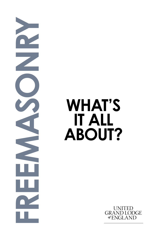**FREEMASONRY**<br> **FREEMASOUT:** 

## **IT ALL ABOUT?**

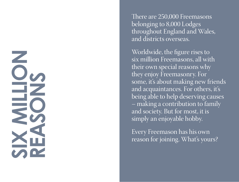## **SIx million reasons**

There are 250,000 Freemasons belonging to 8,000 Lodges throughout England and Wales, and districts overseas.

Worldwide, the figure rises to six million Freemasons, all with their own special reasons why they enjoy Freemasonry. For some, it's about making new friends and acquaintances. For others, it's being able to help deserving causes – making a contribution to family and society. But for most, it is simply an enjoyable hobby.

Every Freemason has his own reason for joining. What's yours?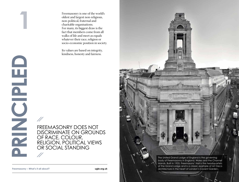**PRINCIPLED RINCIPLED** 

**1**

Freemasonry is one of the world's oldest and largest non-religious, non-political, fraternal and charitable organisations. For many, its biggest draw is the fact that members come from all walks of life and meet as equals whatever their race, religion or<br>socio-economic position in society.

Its values are based on integrity, kindness, honesty and fairness.

FREEMASONRY DOES NOT<br>DISCRIMINATE ON GROUNDS DISCRIMINATE ON GROUNDS<br>OF RACE, COLOUR, religion, political views OR SOCIAL STANDING  $\frac{1}{2}$ 

**Freemasonry – What's it all about?**

**ugle.org.uk**

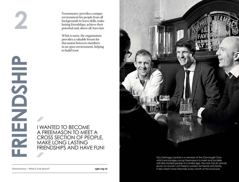**friendship**<br>Friendshipper

Freemasonry provides a unique environment for people from all backgrounds to learn skills, make lasting friendships, achieve their potential and, above all, have fun.

What is more, the organisation provides a valuable forum for discussion between members in an open environment, helping to build trust.

I wanted to become a Freemason to meet a cross section o f people, MAKE LONG LASTING<br>FRIENDSHIPS AND HAVE FUN!  $\frac{1}{2}$ 

Guy Delmage (centre) is a member of the Connaught Club, which encourages young Freemasons to meet and socialise with like-minded people of a similar age. The club has an annual picnic on Lincoln's Inn Fields in London for friends and family. It also meets more informally every month at the local pub.

**Freemasonry – What's it all about? ugle.org.uk**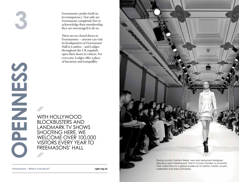**openness**

NHENDO

 $S$ 

Freemasonry prides itself on its transparency. Not only are Freemasons completely free to acknowledge their membership, they are encouraged to do so.

There are no closed doors in Freemasonry – anyone can visit its headquarters at Freemasons' Hall in London – and Lodges throughout the UK regularly open their doors to visitors. For everyone, Lodges offer a place of harmony and tranquillity.

Wit h Hollywood block busters and landmark TV s hows s hooting here, we welcome over 100,000 visitors every year to Freemasons' Hall

 $\mathscr{U}$ 

 $\frac{\pi}{2}$ 

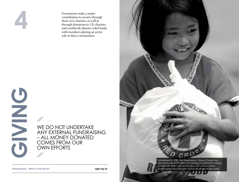Freemasons make a major contribution to society through their own charities, as well as through donations to UK charities and worldwide disaster relief funds, with members playing an active role in their communities.

 $\mathcal{U}$ WE DO NOT UNDERTAKE any external fundraising – all money donated comes from our own efforts  $\mathscr{U}$ 

**g**

**i**

**vin**

**g**



Established in 1980, The Freemasons' Grand Charity has donated over £100 million to a range of charitable causes. It responds when natural disasters such as hurricanes, Freemasonry – What's it all about? **Exercise 2008 ugle.org.uk** earthquakes and droughts occur anywhere in the world.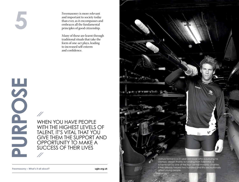**PPOSE** 

BURPOSE

Freemasonry is more relevant and important to society today than ever, as it encompasses and embraces all the fundamental principles of good citizenship.

Many of these are learnt through traditional rituals that take the form of one-act plays, leading to increased self-esteem and confidence.

w hen you have people WITH THE HIGHEST LEVELS OF talent, It's vital t hat you give t hem t he support and opportunity to make a success o f t heir lives

gifted young people. **Freemasonry – What's it all about? ugle.org.uk**

 $\mathscr{N}$ 

 $\mathscr{N}$ 



Olympic dream thanks to funding from Talent Aid, a scheme run by one of the four central masonic charities. It has already helped two hundred and fifty exceptionally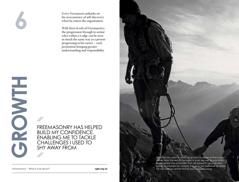Every Freemason embarks on his own journey of self-discovery when he enters the organisation.

With three levels of Freemasonry, the progression through to senior roles within a Lodge can be seen in much the same way as a person progressing in his career – each promotion bringing greater understanding and responsibility.

ESSERUS ARRING has helped build my con fidence, ena bling me to tackle c hallenges I used to s hy away from

Whether you want to meet up at a local Lodge to find a quiet haven from the rest of the world or push yourself to your limits, Freemasonry has a breadth that will appeal to anyone who wants to broaden his horizons. It is up to the individual to make **Freemasonry – What's it all about? ugle.org.uk ugle.org.uk** his own journey and to find his own understanding.